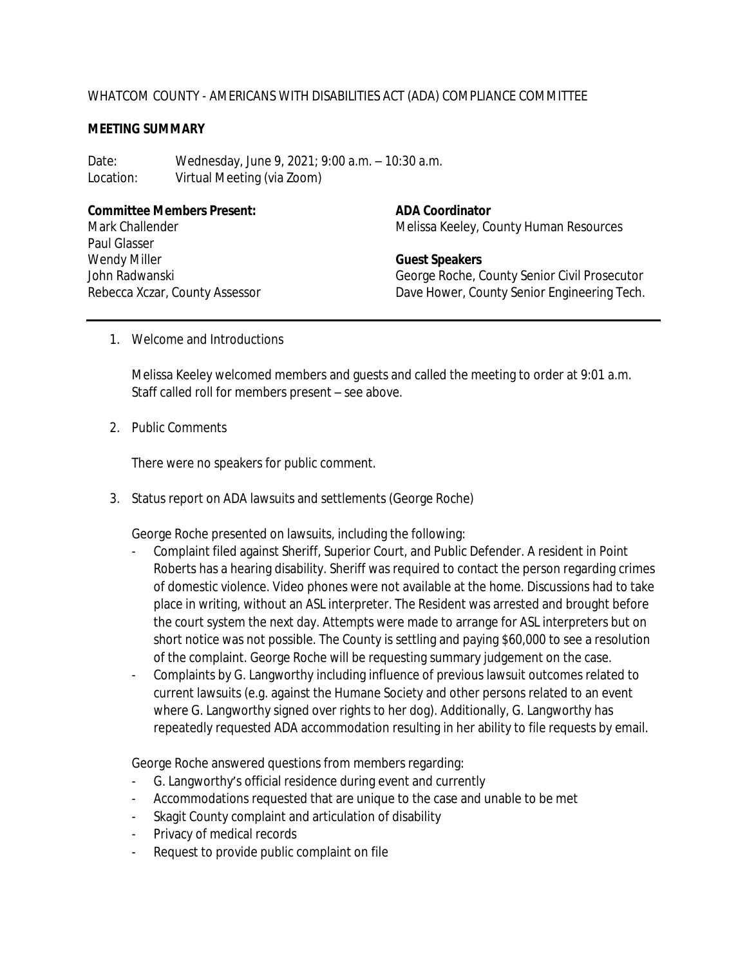## WHATCOM COUNTY - AMERICANS WITH DISABILITIES ACT (ADA) COMPLIANCE COMMITTEE

## **MEETING SUMMARY**

Date: Wednesday, June 9, 2021; 9:00 a.m. – 10:30 a.m. Location: Virtual Meeting (via Zoom)

**Committee Members Present: ADA Coordinator** Mark Challender Paul Glasser Wendy Miller John Radwanski Rebecca Xczar, County Assessor

Melissa Keeley, County Human Resources

**Guest Speakers** George Roche, County Senior Civil Prosecutor Dave Hower, County Senior Engineering Tech.

1. Welcome and Introductions

Melissa Keeley welcomed members and guests and called the meeting to order at 9:01 a.m. Staff called roll for members present – see above.

2. Public Comments

There were no speakers for public comment.

3. Status report on ADA lawsuits and settlements (George Roche)

George Roche presented on lawsuits, including the following:

- Complaint filed against Sheriff, Superior Court, and Public Defender. A resident in Point Roberts has a hearing disability. Sheriff was required to contact the person regarding crimes of domestic violence. Video phones were not available at the home. Discussions had to take place in writing, without an ASL interpreter. The Resident was arrested and brought before the court system the next day. Attempts were made to arrange for ASL interpreters but on short notice was not possible. The County is settling and paying \$60,000 to see a resolution of the complaint. George Roche will be requesting summary judgement on the case.
- Complaints by G. Langworthy including influence of previous lawsuit outcomes related to current lawsuits (e.g. against the Humane Society and other persons related to an event where G. Langworthy signed over rights to her dog). Additionally, G. Langworthy has repeatedly requested ADA accommodation resulting in her ability to file requests by email.

George Roche answered questions from members regarding:

- G. Langworthy's official residence during event and currently
- Accommodations requested that are unique to the case and unable to be met
- Skagit County complaint and articulation of disability
- Privacy of medical records
- Request to provide public complaint on file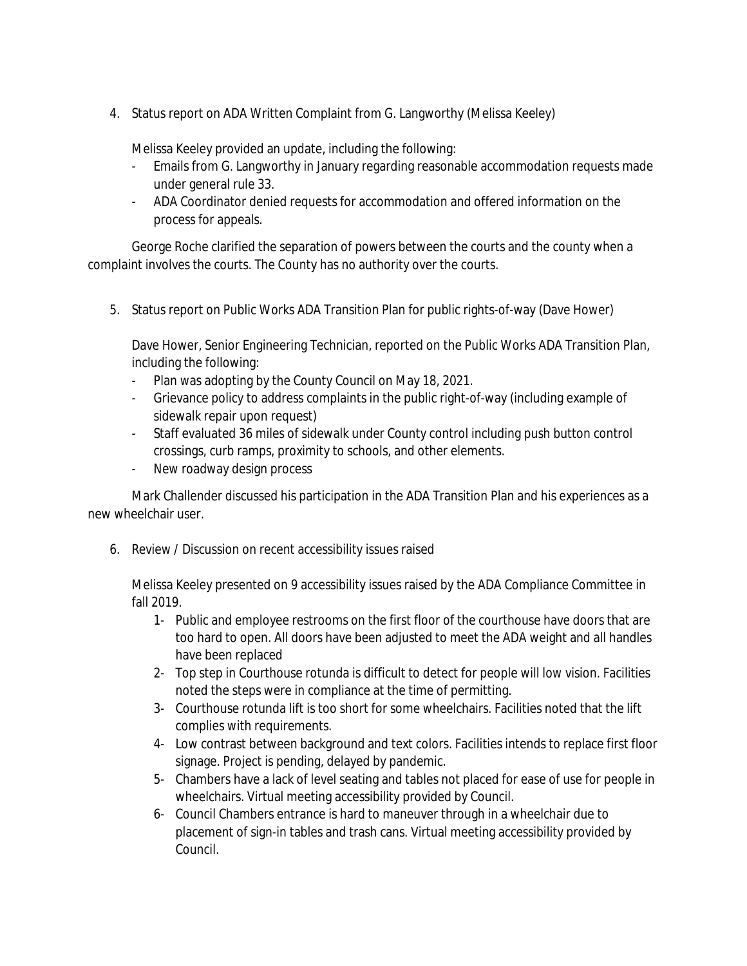4. Status report on ADA Written Complaint from G. Langworthy (Melissa Keeley)

Melissa Keeley provided an update, including the following:

- Emails from G. Langworthy in January regarding reasonable accommodation requests made under general rule 33.
- ADA Coordinator denied requests for accommodation and offered information on the process for appeals.

George Roche clarified the separation of powers between the courts and the county when a complaint involves the courts. The County has no authority over the courts.

5. Status report on Public Works ADA Transition Plan for public rights-of-way (Dave Hower)

Dave Hower, Senior Engineering Technician, reported on the Public Works ADA Transition Plan, including the following:

- Plan was adopting by the County Council on May 18, 2021.
- Grievance policy to address complaints in the public right-of-way (including example of sidewalk repair upon request)
- Staff evaluated 36 miles of sidewalk under County control including push button control crossings, curb ramps, proximity to schools, and other elements.
- New roadway design process

Mark Challender discussed his participation in the ADA Transition Plan and his experiences as a new wheelchair user.

6. Review / Discussion on recent accessibility issues raised

Melissa Keeley presented on 9 accessibility issues raised by the ADA Compliance Committee in fall 2019.

- 1- Public and employee restrooms on the first floor of the courthouse have doors that are too hard to open. All doors have been adjusted to meet the ADA weight and all handles have been replaced
- 2- Top step in Courthouse rotunda is difficult to detect for people will low vision. Facilities noted the steps were in compliance at the time of permitting.
- 3- Courthouse rotunda lift is too short for some wheelchairs. Facilities noted that the lift complies with requirements.
- 4- Low contrast between background and text colors. Facilities intends to replace first floor signage. Project is pending, delayed by pandemic.
- 5- Chambers have a lack of level seating and tables not placed for ease of use for people in wheelchairs. Virtual meeting accessibility provided by Council.
- 6- Council Chambers entrance is hard to maneuver through in a wheelchair due to placement of sign-in tables and trash cans. Virtual meeting accessibility provided by Council.